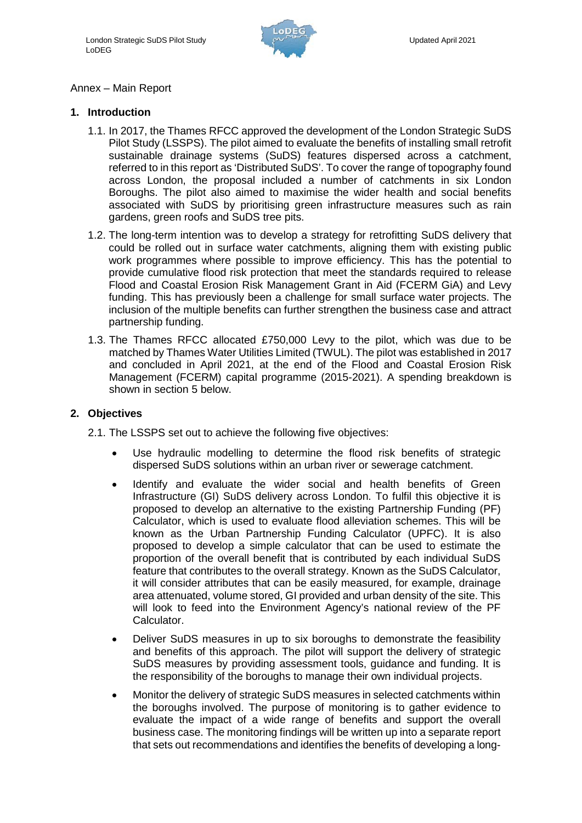

### Annex – Main Report

#### **1. Introduction**

- 1.1. In 2017, the Thames RFCC approved the development of the London Strategic SuDS Pilot Study (LSSPS). The pilot aimed to evaluate the benefits of installing small retrofit sustainable drainage systems (SuDS) features dispersed across a catchment, referred to in this report as 'Distributed SuDS'. To cover the range of topography found across London, the proposal included a number of catchments in six London Boroughs. The pilot also aimed to maximise the wider health and social benefits associated with SuDS by prioritising green infrastructure measures such as rain gardens, green roofs and SuDS tree pits.
- 1.2. The long-term intention was to develop a strategy for retrofitting SuDS delivery that could be rolled out in surface water catchments, aligning them with existing public work programmes where possible to improve efficiency. This has the potential to provide cumulative flood risk protection that meet the standards required to release Flood and Coastal Erosion Risk Management Grant in Aid (FCERM GiA) and Levy funding. This has previously been a challenge for small surface water projects. The inclusion of the multiple benefits can further strengthen the business case and attract partnership funding.
- 1.3. The Thames RFCC allocated £750,000 Levy to the pilot, which was due to be matched by Thames Water Utilities Limited (TWUL). The pilot was established in 2017 and concluded in April 2021, at the end of the Flood and Coastal Erosion Risk Management (FCERM) capital programme (2015-2021). A spending breakdown is shown in section 5 below.

#### **2. Objectives**

- 2.1. The LSSPS set out to achieve the following five objectives:
	- Use hydraulic modelling to determine the flood risk benefits of strategic dispersed SuDS solutions within an urban river or sewerage catchment.
	- Identify and evaluate the wider social and health benefits of Green Infrastructure (GI) SuDS delivery across London. To fulfil this objective it is proposed to develop an alternative to the existing Partnership Funding (PF) Calculator, which is used to evaluate flood alleviation schemes. This will be known as the Urban Partnership Funding Calculator (UPFC). It is also proposed to develop a simple calculator that can be used to estimate the proportion of the overall benefit that is contributed by each individual SuDS feature that contributes to the overall strategy. Known as the SuDS Calculator, it will consider attributes that can be easily measured, for example, drainage area attenuated, volume stored, GI provided and urban density of the site. This will look to feed into the Environment Agency's national review of the PF Calculator.
	- Deliver SuDS measures in up to six boroughs to demonstrate the feasibility and benefits of this approach. The pilot will support the delivery of strategic SuDS measures by providing assessment tools, guidance and funding. It is the responsibility of the boroughs to manage their own individual projects.
	- Monitor the delivery of strategic SuDS measures in selected catchments within the boroughs involved. The purpose of monitoring is to gather evidence to evaluate the impact of a wide range of benefits and support the overall business case. The monitoring findings will be written up into a separate report that sets out recommendations and identifies the benefits of developing a long-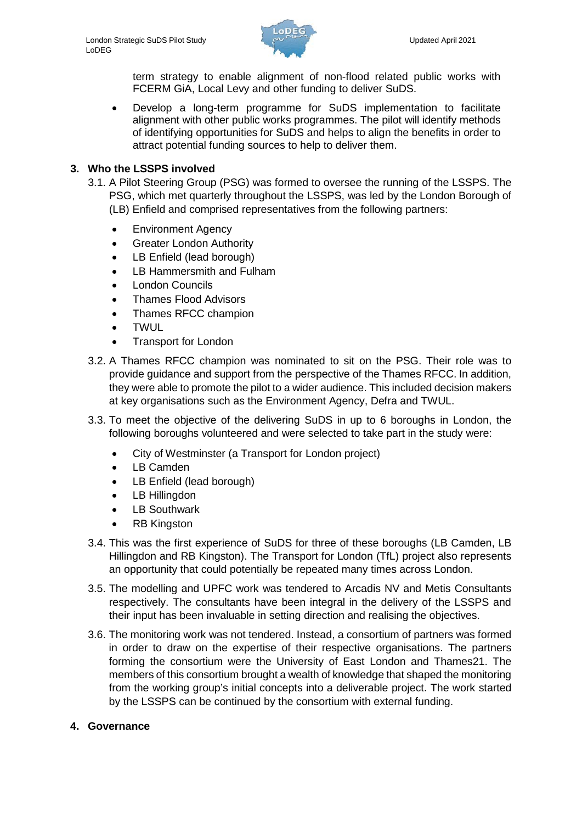

term strategy to enable alignment of non-flood related public works with FCERM GiA, Local Levy and other funding to deliver SuDS.

• Develop a long-term programme for SuDS implementation to facilitate alignment with other public works programmes. The pilot will identify methods of identifying opportunities for SuDS and helps to align the benefits in order to attract potential funding sources to help to deliver them.

### **3. Who the LSSPS involved**

- 3.1. A Pilot Steering Group (PSG) was formed to oversee the running of the LSSPS. The PSG, which met quarterly throughout the LSSPS, was led by the London Borough of (LB) Enfield and comprised representatives from the following partners:
	- Environment Agency
	- Greater London Authority
	- LB Enfield (lead borough)
	- LB Hammersmith and Fulham
	- London Councils
	- Thames Flood Advisors
	- Thames RFCC champion
	- TWUL
	- Transport for London
- 3.2. A Thames RFCC champion was nominated to sit on the PSG. Their role was to provide guidance and support from the perspective of the Thames RFCC. In addition, they were able to promote the pilot to a wider audience. This included decision makers at key organisations such as the Environment Agency, Defra and TWUL.
- 3.3. To meet the objective of the delivering SuDS in up to 6 boroughs in London, the following boroughs volunteered and were selected to take part in the study were:
	- City of Westminster (a Transport for London project)
	- LB Camden
	- LB Enfield (lead borough)
	- LB Hillingdon
	- LB Southwark
	- RB Kingston
- 3.4. This was the first experience of SuDS for three of these boroughs (LB Camden, LB Hillingdon and RB Kingston). The Transport for London (TfL) project also represents an opportunity that could potentially be repeated many times across London.
- 3.5. The modelling and UPFC work was tendered to Arcadis NV and Metis Consultants respectively. The consultants have been integral in the delivery of the LSSPS and their input has been invaluable in setting direction and realising the objectives.
- 3.6. The monitoring work was not tendered. Instead, a consortium of partners was formed in order to draw on the expertise of their respective organisations. The partners forming the consortium were the University of East London and Thames21. The members of this consortium brought a wealth of knowledge that shaped the monitoring from the working group's initial concepts into a deliverable project. The work started by the LSSPS can be continued by the consortium with external funding.

### **4. Governance**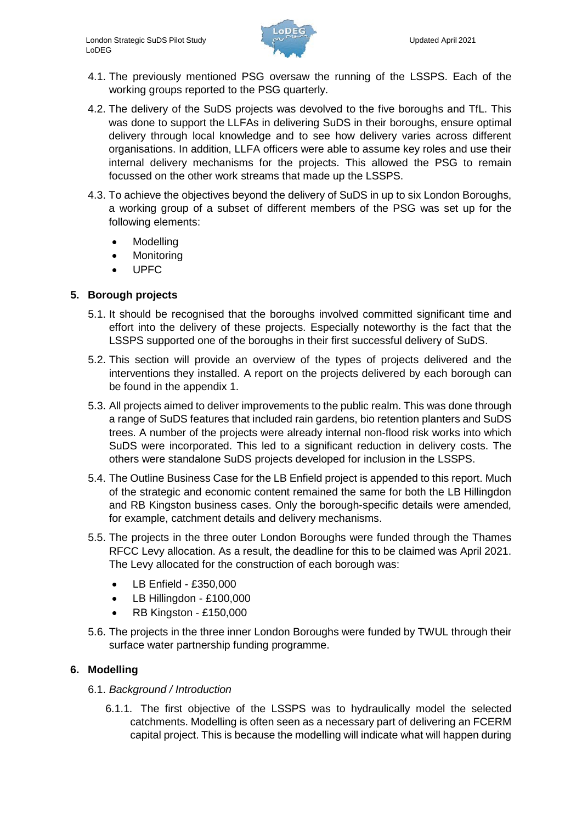

- 4.1. The previously mentioned PSG oversaw the running of the LSSPS. Each of the working groups reported to the PSG quarterly.
- 4.2. The delivery of the SuDS projects was devolved to the five boroughs and TfL. This was done to support the LLFAs in delivering SuDS in their boroughs, ensure optimal delivery through local knowledge and to see how delivery varies across different organisations. In addition, LLFA officers were able to assume key roles and use their internal delivery mechanisms for the projects. This allowed the PSG to remain focussed on the other work streams that made up the LSSPS.
- 4.3. To achieve the objectives beyond the delivery of SuDS in up to six London Boroughs, a working group of a subset of different members of the PSG was set up for the following elements:
	- Modelling
	- Monitoring
	- UPFC

## **5. Borough projects**

- 5.1. It should be recognised that the boroughs involved committed significant time and effort into the delivery of these projects. Especially noteworthy is the fact that the LSSPS supported one of the boroughs in their first successful delivery of SuDS.
- 5.2. This section will provide an overview of the types of projects delivered and the interventions they installed. A report on the projects delivered by each borough can be found in the appendix 1.
- 5.3. All projects aimed to deliver improvements to the public realm. This was done through a range of SuDS features that included rain gardens, bio retention planters and SuDS trees. A number of the projects were already internal non-flood risk works into which SuDS were incorporated. This led to a significant reduction in delivery costs. The others were standalone SuDS projects developed for inclusion in the LSSPS.
- 5.4. The Outline Business Case for the LB Enfield project is appended to this report. Much of the strategic and economic content remained the same for both the LB Hillingdon and RB Kingston business cases. Only the borough-specific details were amended, for example, catchment details and delivery mechanisms.
- 5.5. The projects in the three outer London Boroughs were funded through the Thames RFCC Levy allocation. As a result, the deadline for this to be claimed was April 2021. The Levy allocated for the construction of each borough was:
	- LB Enfield £350,000
	- LB Hillingdon £100,000
	- RB Kingston £150,000
- 5.6. The projects in the three inner London Boroughs were funded by TWUL through their surface water partnership funding programme.

## **6. Modelling**

- 6.1. *Background / Introduction*
	- 6.1.1. The first objective of the LSSPS was to hydraulically model the selected catchments. Modelling is often seen as a necessary part of delivering an FCERM capital project. This is because the modelling will indicate what will happen during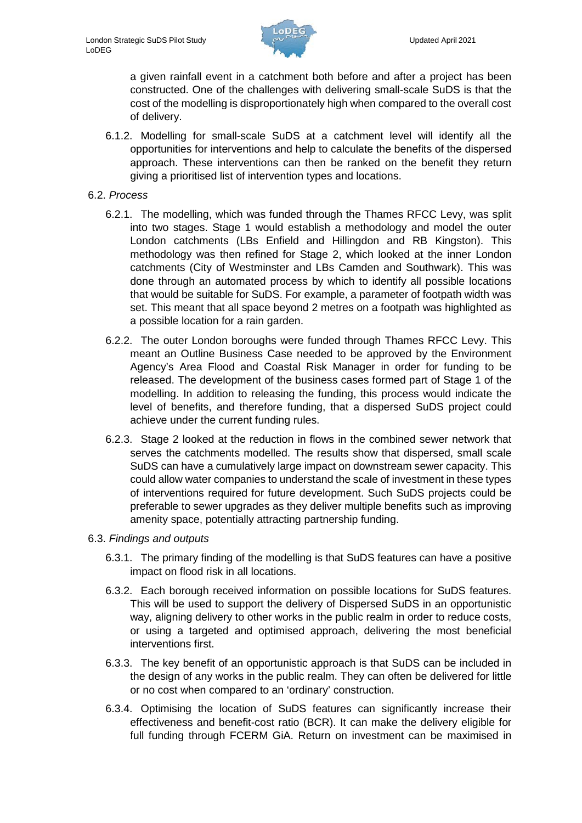

a given rainfall event in a catchment both before and after a project has been constructed. One of the challenges with delivering small-scale SuDS is that the cost of the modelling is disproportionately high when compared to the overall cost of delivery.

- 6.1.2. Modelling for small-scale SuDS at a catchment level will identify all the opportunities for interventions and help to calculate the benefits of the dispersed approach. These interventions can then be ranked on the benefit they return giving a prioritised list of intervention types and locations.
- 6.2. *Process*
	- 6.2.1. The modelling, which was funded through the Thames RFCC Levy, was split into two stages. Stage 1 would establish a methodology and model the outer London catchments (LBs Enfield and Hillingdon and RB Kingston). This methodology was then refined for Stage 2, which looked at the inner London catchments (City of Westminster and LBs Camden and Southwark). This was done through an automated process by which to identify all possible locations that would be suitable for SuDS. For example, a parameter of footpath width was set. This meant that all space beyond 2 metres on a footpath was highlighted as a possible location for a rain garden.
	- 6.2.2. The outer London boroughs were funded through Thames RFCC Levy. This meant an Outline Business Case needed to be approved by the Environment Agency's Area Flood and Coastal Risk Manager in order for funding to be released. The development of the business cases formed part of Stage 1 of the modelling. In addition to releasing the funding, this process would indicate the level of benefits, and therefore funding, that a dispersed SuDS project could achieve under the current funding rules.
	- 6.2.3. Stage 2 looked at the reduction in flows in the combined sewer network that serves the catchments modelled. The results show that dispersed, small scale SuDS can have a cumulatively large impact on downstream sewer capacity. This could allow water companies to understand the scale of investment in these types of interventions required for future development. Such SuDS projects could be preferable to sewer upgrades as they deliver multiple benefits such as improving amenity space, potentially attracting partnership funding.
- 6.3. *Findings and outputs*
	- 6.3.1. The primary finding of the modelling is that SuDS features can have a positive impact on flood risk in all locations.
	- 6.3.2. Each borough received information on possible locations for SuDS features. This will be used to support the delivery of Dispersed SuDS in an opportunistic way, aligning delivery to other works in the public realm in order to reduce costs, or using a targeted and optimised approach, delivering the most beneficial interventions first.
	- 6.3.3. The key benefit of an opportunistic approach is that SuDS can be included in the design of any works in the public realm. They can often be delivered for little or no cost when compared to an 'ordinary' construction.
	- 6.3.4. Optimising the location of SuDS features can significantly increase their effectiveness and benefit-cost ratio (BCR). It can make the delivery eligible for full funding through FCERM GiA. Return on investment can be maximised in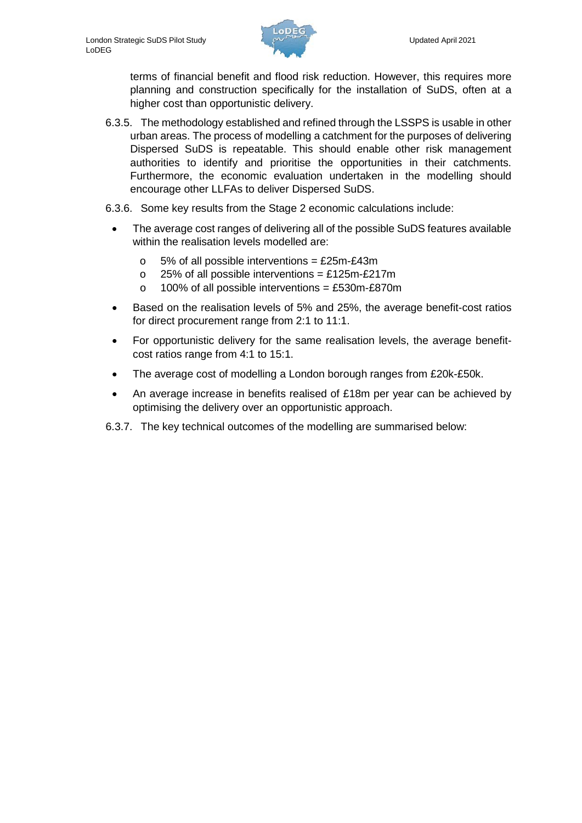

terms of financial benefit and flood risk reduction. However, this requires more planning and construction specifically for the installation of SuDS, often at a higher cost than opportunistic delivery.

- 6.3.5. The methodology established and refined through the LSSPS is usable in other urban areas. The process of modelling a catchment for the purposes of delivering Dispersed SuDS is repeatable. This should enable other risk management authorities to identify and prioritise the opportunities in their catchments. Furthermore, the economic evaluation undertaken in the modelling should encourage other LLFAs to deliver Dispersed SuDS.
- 6.3.6. Some key results from the Stage 2 economic calculations include:
	- The average cost ranges of delivering all of the possible SuDS features available within the realisation levels modelled are:
		- $\circ$  5% of all possible interventions = £25m-£43m
		- $\circ$  25% of all possible interventions = £125m-£217m
		- $\circ$  100% of all possible interventions = £530m-£870m
	- Based on the realisation levels of 5% and 25%, the average benefit-cost ratios for direct procurement range from 2:1 to 11:1.
	- For opportunistic delivery for the same realisation levels, the average benefitcost ratios range from 4:1 to 15:1.
	- The average cost of modelling a London borough ranges from £20k-£50k.
	- An average increase in benefits realised of £18m per year can be achieved by optimising the delivery over an opportunistic approach.
- 6.3.7. The key technical outcomes of the modelling are summarised below: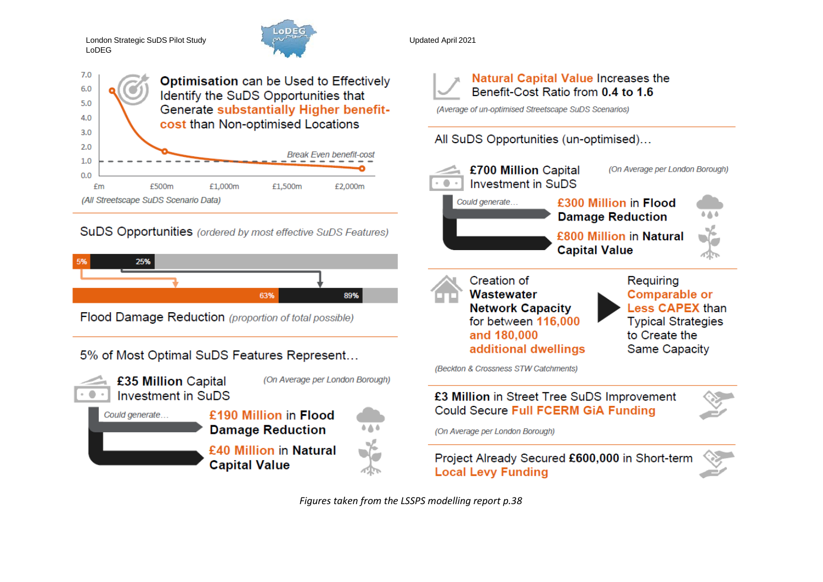London Strategic SuDS Pilot Study LoDEG



 $7.0$ **Optimisation can be Used to Effectively** 6.0 Identify the SuDS Opportunities that  $5.0$ **Generate substantially Higher benefit-** $4.0$ cost than Non-optimised Locations  $3.0$  $2.0$ **Break Even benefit-cost**  $1.0$  $0.0$ £m £500m £1.000m £1.500m £2,000m (All Streetscape SuDS Scenario Data)

# **SuDS Opportunities** (ordered by most effective SuDS Features)



Flood Damage Reduction (proportion of total possible)

5% of Most Optimal SuDS Features Represent...



(On Average per London Borough) £35 Million Capital **Investment in SuDS** 

| Could generate | £190 Million in Flood<br><b>Damage Reduction</b> |  |
|----------------|--------------------------------------------------|--|
|                | £40 Million in Natural<br><b>Capital Value</b>   |  |

Updated April 2021

**Natural Capital Value Increases the** Benefit-Cost Ratio from 0.4 to 1.6

(Average of un-optimised Streetscape SuDS Scenarios)

# All SuDS Opportunities (un-optimised)...



*Figures taken from the LSSPS modelling report p.38*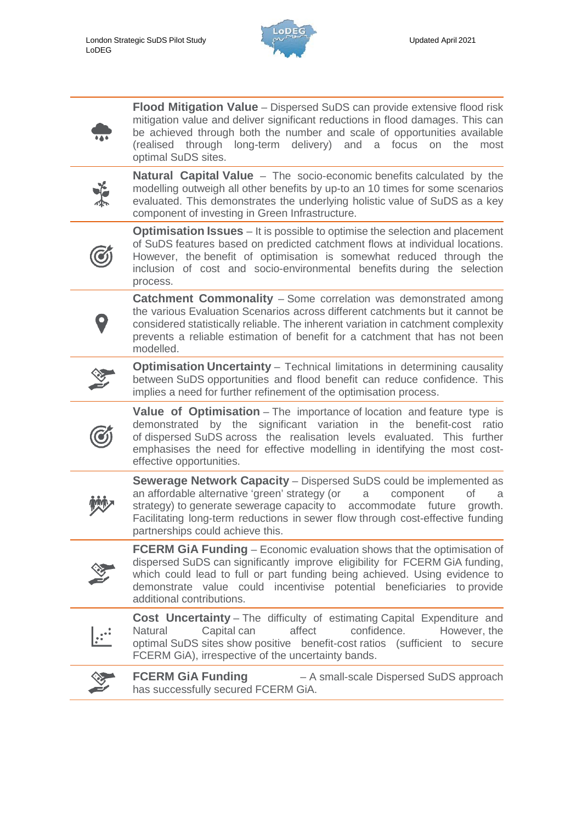

**Flood Mitigation Value** – Dispersed SuDS can provide extensive flood risk mitigation value and deliver significant reductions in flood damages. This can be achieved through both the number and scale of opportunities available (realised through long-term delivery) and a focus on the most optimal SuDS sites.



**Natural Capital Value** – The socio-economic benefits calculated by the modelling outweigh all other benefits by up-to an 10 times for some scenarios evaluated. This demonstrates the underlying holistic value of SuDS as a key component of investing in Green Infrastructure.



**Optimisation Issues** – It is possible to optimise the selection and placement of SuDS features based on predicted catchment flows at individual locations. However, the benefit of optimisation is somewhat reduced through the inclusion of cost and socio-environmental benefits during the selection process.

**Catchment Commonality** – Some correlation was demonstrated among the various Evaluation Scenarios across different catchments but it cannot be considered statistically reliable. The inherent variation in catchment complexity prevents a reliable estimation of benefit for a catchment that has not been modelled.



**Optimisation Uncertainty** – Technical limitations in determining causality between SuDS opportunities and flood benefit can reduce confidence. This implies a need for further refinement of the optimisation process.

**Value of Optimisation** – The importance of location and feature type is demonstrated by the significant variation in the benefit-cost ratio of dispersed SuDS across the realisation levels evaluated. This further emphasises the need for effective modelling in identifying the most costeffective opportunities.



**Sewerage Network Capacity** – Dispersed SuDS could be implemented as an affordable alternative 'green' strategy (or a component of a strategy) to generate sewerage capacity to accommodate future growth. Facilitating long-term reductions in sewer flow through cost-effective funding partnerships could achieve this.



**FCERM GiA Funding** – Economic evaluation shows that the optimisation of dispersed SuDS can significantly improve eligibility for FCERM GiA funding, which could lead to full or part funding being achieved. Using evidence to demonstrate value could incentivise potential beneficiaries to provide additional contributions.

**Cost Uncertainty** – The difficulty of estimating Capital Expenditure and Natural Capital can affect confidence. However, the optimal SuDS sites show positive benefit-cost ratios (sufficient to secure FCERM GiA), irrespective of the uncertainty bands.



**FCERM GiA Funding** – A small-scale Dispersed SuDS approach has successfully secured FCERM GiA.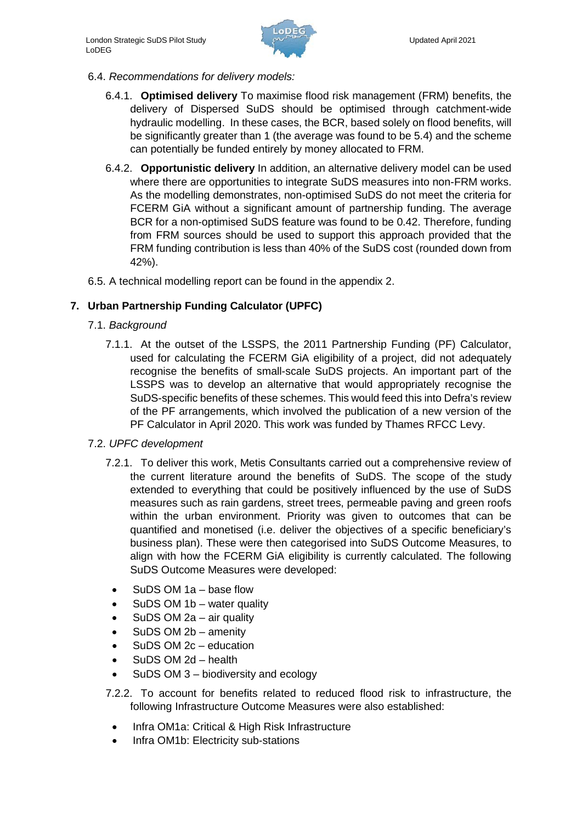

- 6.4. *Recommendations for delivery models:*
	- 6.4.1. **Optimised delivery** To maximise flood risk management (FRM) benefits, the delivery of Dispersed SuDS should be optimised through catchment-wide hydraulic modelling. In these cases, the BCR, based solely on flood benefits, will be significantly greater than 1 (the average was found to be 5.4) and the scheme can potentially be funded entirely by money allocated to FRM.
	- 6.4.2. **Opportunistic delivery** In addition, an alternative delivery model can be used where there are opportunities to integrate SuDS measures into non-FRM works. As the modelling demonstrates, non-optimised SuDS do not meet the criteria for FCERM GiA without a significant amount of partnership funding. The average BCR for a non-optimised SuDS feature was found to be 0.42. Therefore, funding from FRM sources should be used to support this approach provided that the FRM funding contribution is less than 40% of the SuDS cost (rounded down from 42%).
- 6.5. A technical modelling report can be found in the appendix 2.

## **7. Urban Partnership Funding Calculator (UPFC)**

- 7.1. *Background*
	- 7.1.1. At the outset of the LSSPS, the 2011 Partnership Funding (PF) Calculator, used for calculating the FCERM GiA eligibility of a project, did not adequately recognise the benefits of small-scale SuDS projects. An important part of the LSSPS was to develop an alternative that would appropriately recognise the SuDS-specific benefits of these schemes. This would feed this into Defra's review of the PF arrangements, which involved the publication of a new version of the PF Calculator in April 2020. This work was funded by Thames RFCC Levy.

### 7.2. *UPFC development*

- 7.2.1. To deliver this work, Metis Consultants carried out a comprehensive review of the current literature around the benefits of SuDS. The scope of the study extended to everything that could be positively influenced by the use of SuDS measures such as rain gardens, street trees, permeable paving and green roofs within the urban environment. Priority was given to outcomes that can be quantified and monetised (i.e. deliver the objectives of a specific beneficiary's business plan). These were then categorised into SuDS Outcome Measures, to align with how the FCERM GiA eligibility is currently calculated. The following SuDS Outcome Measures were developed:
	- SuDS OM 1a base flow
	- SuDS OM 1b water quality
	- SuDS OM 2a air quality
	- SuDS OM 2b amenity
	- SuDS OM 2c education
	- SuDS OM 2d health
	- SuDS OM 3 biodiversity and ecology
- 7.2.2. To account for benefits related to reduced flood risk to infrastructure, the following Infrastructure Outcome Measures were also established:
	- Infra OM1a: Critical & High Risk Infrastructure
	- Infra OM1b: Electricity sub-stations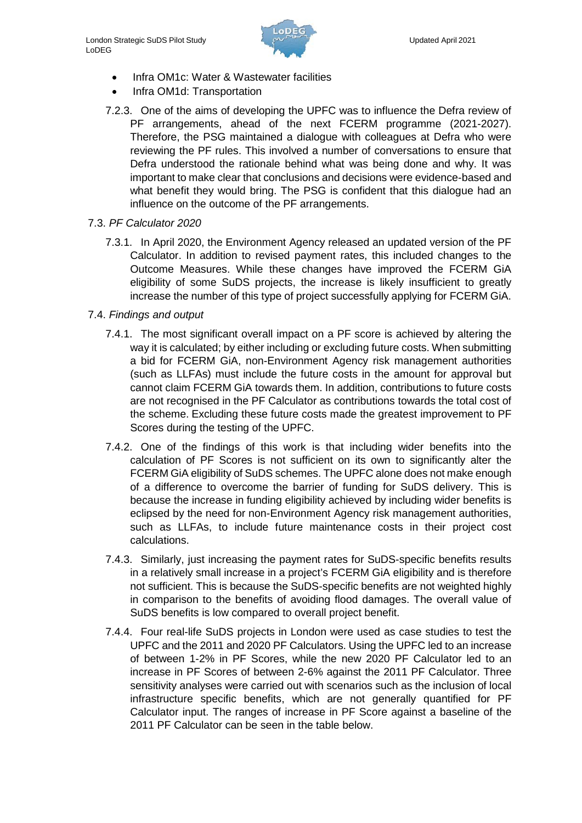

- Infra OM1c: Water & Wastewater facilities
- Infra OM1d: Transportation
- 7.2.3. One of the aims of developing the UPFC was to influence the Defra review of PF arrangements, ahead of the next FCERM programme (2021-2027). Therefore, the PSG maintained a dialogue with colleagues at Defra who were reviewing the PF rules. This involved a number of conversations to ensure that Defra understood the rationale behind what was being done and why. It was important to make clear that conclusions and decisions were evidence-based and what benefit they would bring. The PSG is confident that this dialogue had an influence on the outcome of the PF arrangements.
- 7.3. *PF Calculator 2020*
	- 7.3.1. In April 2020, the Environment Agency released an updated version of the PF Calculator. In addition to revised payment rates, this included changes to the Outcome Measures. While these changes have improved the FCERM GiA eligibility of some SuDS projects, the increase is likely insufficient to greatly increase the number of this type of project successfully applying for FCERM GiA.
- 7.4. *Findings and output*
	- 7.4.1. The most significant overall impact on a PF score is achieved by altering the way it is calculated; by either including or excluding future costs. When submitting a bid for FCERM GiA, non-Environment Agency risk management authorities (such as LLFAs) must include the future costs in the amount for approval but cannot claim FCERM GiA towards them. In addition, contributions to future costs are not recognised in the PF Calculator as contributions towards the total cost of the scheme. Excluding these future costs made the greatest improvement to PF Scores during the testing of the UPFC.
	- 7.4.2. One of the findings of this work is that including wider benefits into the calculation of PF Scores is not sufficient on its own to significantly alter the FCERM GiA eligibility of SuDS schemes. The UPFC alone does not make enough of a difference to overcome the barrier of funding for SuDS delivery. This is because the increase in funding eligibility achieved by including wider benefits is eclipsed by the need for non-Environment Agency risk management authorities, such as LLFAs, to include future maintenance costs in their project cost calculations.
	- 7.4.3. Similarly, just increasing the payment rates for SuDS-specific benefits results in a relatively small increase in a project's FCERM GiA eligibility and is therefore not sufficient. This is because the SuDS-specific benefits are not weighted highly in comparison to the benefits of avoiding flood damages. The overall value of SuDS benefits is low compared to overall project benefit.
	- 7.4.4. Four real-life SuDS projects in London were used as case studies to test the UPFC and the 2011 and 2020 PF Calculators. Using the UPFC led to an increase of between 1-2% in PF Scores, while the new 2020 PF Calculator led to an increase in PF Scores of between 2-6% against the 2011 PF Calculator. Three sensitivity analyses were carried out with scenarios such as the inclusion of local infrastructure specific benefits, which are not generally quantified for PF Calculator input. The ranges of increase in PF Score against a baseline of the 2011 PF Calculator can be seen in the table below.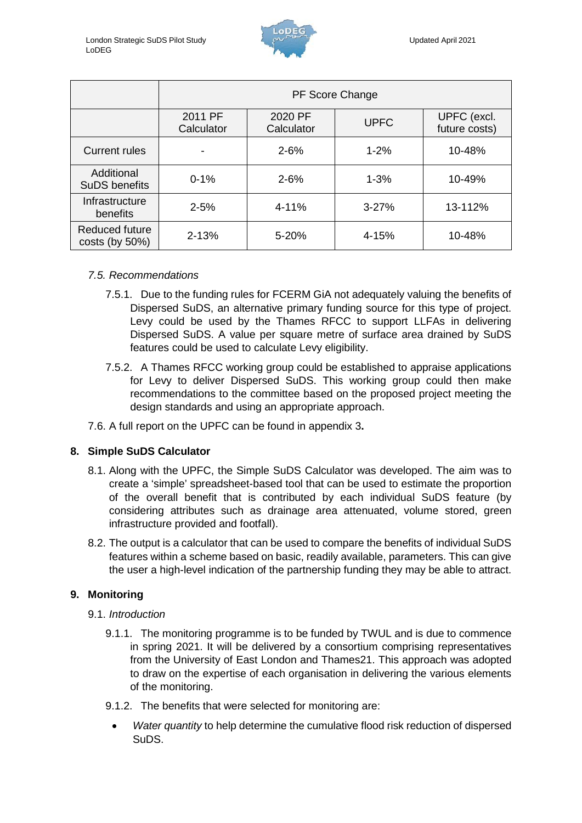

|                                    | PF Score Change       |                       |             |                              |  |
|------------------------------------|-----------------------|-----------------------|-------------|------------------------------|--|
|                                    | 2011 PF<br>Calculator | 2020 PF<br>Calculator | <b>UPFC</b> | UPFC (excl.<br>future costs) |  |
| <b>Current rules</b>               |                       | $2 - 6%$              | $1 - 2%$    | 10-48%                       |  |
| Additional<br><b>SuDS benefits</b> | $0 - 1%$              | $2 - 6%$              | $1 - 3%$    | 10-49%                       |  |
| Infrastructure<br>benefits         | $2 - 5%$              | 4-11%                 | $3 - 27%$   | 13-112%                      |  |
| Reduced future<br>$costs$ (by 50%) | 2-13%                 | 5-20%                 | 4-15%       | 10-48%                       |  |

### *7.5. Recommendations*

- 7.5.1. Due to the funding rules for FCERM GiA not adequately valuing the benefits of Dispersed SuDS, an alternative primary funding source for this type of project. Levy could be used by the Thames RFCC to support LLFAs in delivering Dispersed SuDS. A value per square metre of surface area drained by SuDS features could be used to calculate Levy eligibility.
- 7.5.2. A Thames RFCC working group could be established to appraise applications for Levy to deliver Dispersed SuDS. This working group could then make recommendations to the committee based on the proposed project meeting the design standards and using an appropriate approach.
- 7.6. A full report on the UPFC can be found in appendix 3**.**

## **8. Simple SuDS Calculator**

- 8.1. Along with the UPFC, the Simple SuDS Calculator was developed. The aim was to create a 'simple' spreadsheet-based tool that can be used to estimate the proportion of the overall benefit that is contributed by each individual SuDS feature (by considering attributes such as drainage area attenuated, volume stored, green infrastructure provided and footfall).
- 8.2. The output is a calculator that can be used to compare the benefits of individual SuDS features within a scheme based on basic, readily available, parameters. This can give the user a high-level indication of the partnership funding they may be able to attract.

## **9. Monitoring**

- 9.1. *Introduction*
	- 9.1.1. The monitoring programme is to be funded by TWUL and is due to commence in spring 2021. It will be delivered by a consortium comprising representatives from the University of East London and Thames21. This approach was adopted to draw on the expertise of each organisation in delivering the various elements of the monitoring.
	- 9.1.2. The benefits that were selected for monitoring are:
		- *Water quantity* to help determine the cumulative flood risk reduction of dispersed SuDS.